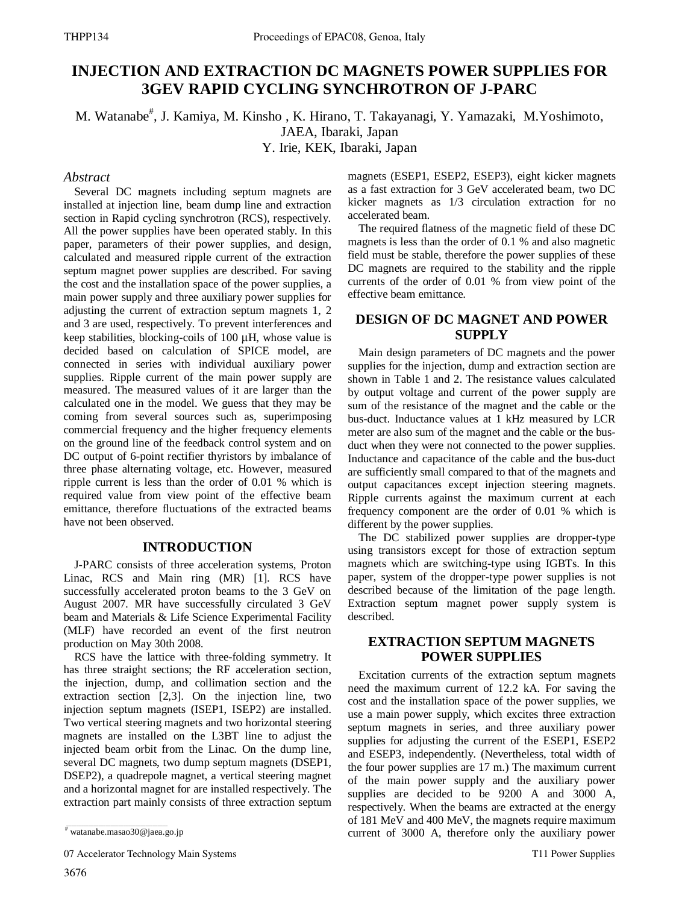# **INJECTION AND EXTRACTION DC MAGNETS POWER SUPPLIES FOR 3GEV RAPID CYCLING SYNCHROTRON OF J-PARC**

M. Watanabe<sup>#</sup>, J. Kamiya, M. Kinsho, K. Hirano, T. Takayanagi, Y. Yamazaki, M.Yoshimoto,

JAEA, Ibaraki, Japan

Y. Irie, KEK, Ibaraki, Japan

### *Abstract*

Several DC magnets including septum magnets are installed at injection line, beam dump line and extraction section in Rapid cycling synchrotron (RCS), respectively. All the power supplies have been operated stably. In this paper, parameters of their power supplies, and design, calculated and measured ripple current of the extraction septum magnet power supplies are described. For saving the cost and the installation space of the power supplies, a main power supply and three auxiliary power supplies for adjusting the current of extraction septum magnets 1, 2 and 3 are used, respectively. To prevent interferences and keep stabilities, blocking-coils of 100 μH, whose value is decided based on calculation of SPICE model, are connected in series with individual auxiliary power supplies. Ripple current of the main power supply are measured. The measured values of it are larger than the calculated one in the model. We guess that they may be coming from several sources such as, superimposing commercial frequency and the higher frequency elements on the ground line of the feedback control system and on DC output of 6-point rectifier thyristors by imbalance of three phase alternating voltage, etc. However, measured ripple current is less than the order of 0.01 % which is required value from view point of the effective beam emittance, therefore fluctuations of the extracted beams have not been observed.

### **INTRODUCTION**

J-PARC consists of three acceleration systems, Proton Linac, RCS and Main ring (MR) [1]. RCS have successfully accelerated proton beams to the 3 GeV on August 2007. MR have successfully circulated 3 GeV beam and Materials & Life Science Experimental Facility (MLF) have recorded an event of the first neutron production on May 30th 2008.

RCS have the lattice with three-folding symmetry. It has three straight sections; the RF acceleration section, the injection, dump, and collimation section and the extraction section [2,3]. On the injection line, two injection septum magnets (ISEP1, ISEP2) are installed. Two vertical steering magnets and two horizontal steering magnets are installed on the L3BT line to adjust the injected beam orbit from the Linac. On the dump line, several DC magnets, two dump septum magnets (DSEP1, DSEP2), a quadrepole magnet, a vertical steering magnet and a horizontal magnet for are installed respectively. The extraction part mainly consists of three extraction septum

07 Accelerator Technology Main Systems

magnets (ESEP1, ESEP2, ESEP3), eight kicker magnets as a fast extraction for 3 GeV accelerated beam, two DC kicker magnets as 1/3 circulation extraction for no accelerated beam.

The required flatness of the magnetic field of these DC magnets is less than the order of 0.1 % and also magnetic field must be stable, therefore the power supplies of these DC magnets are required to the stability and the ripple currents of the order of 0.01 % from view point of the effective beam emittance.

# **DESIGN OF DC MAGNET AND POWER SUPPLY**

Main design parameters of DC magnets and the power supplies for the injection, dump and extraction section are shown in Table 1 and 2. The resistance values calculated by output voltage and current of the power supply are sum of the resistance of the magnet and the cable or the bus-duct. Inductance values at 1 kHz measured by LCR meter are also sum of the magnet and the cable or the busduct when they were not connected to the power supplies. Inductance and capacitance of the cable and the bus-duct are sufficiently small compared to that of the magnets and output capacitances except injection steering magnets. Ripple currents against the maximum current at each frequency component are the order of 0.01 % which is different by the power supplies.

The DC stabilized power supplies are dropper-type using transistors except for those of extraction septum magnets which are switching-type using IGBTs. In this paper, system of the dropper-type power supplies is not described because of the limitation of the page length. Extraction septum magnet power supply system is described.

## **EXTRACTION SEPTUM MAGNETS POWER SUPPLIES**

Excitation currents of the extraction septum magnets need the maximum current of 12.2 kA. For saving the cost and the installation space of the power supplies, we use a main power supply, which excites three extraction septum magnets in series, and three auxiliary power supplies for adjusting the current of the ESEP1, ESEP2 and ESEP3, independently. (Nevertheless, total width of the four power supplies are 17 m.) The maximum current of the main power supply and the auxiliary power supplies are decided to be 9200 A and 3000 A, respectively. When the beams are extracted at the energy of 181 MeV and 400 MeV, the magnets require maximum current of 3000 A, therefore only the auxiliary power

<sup>#</sup> watanabe.masao30@jaea.go.jp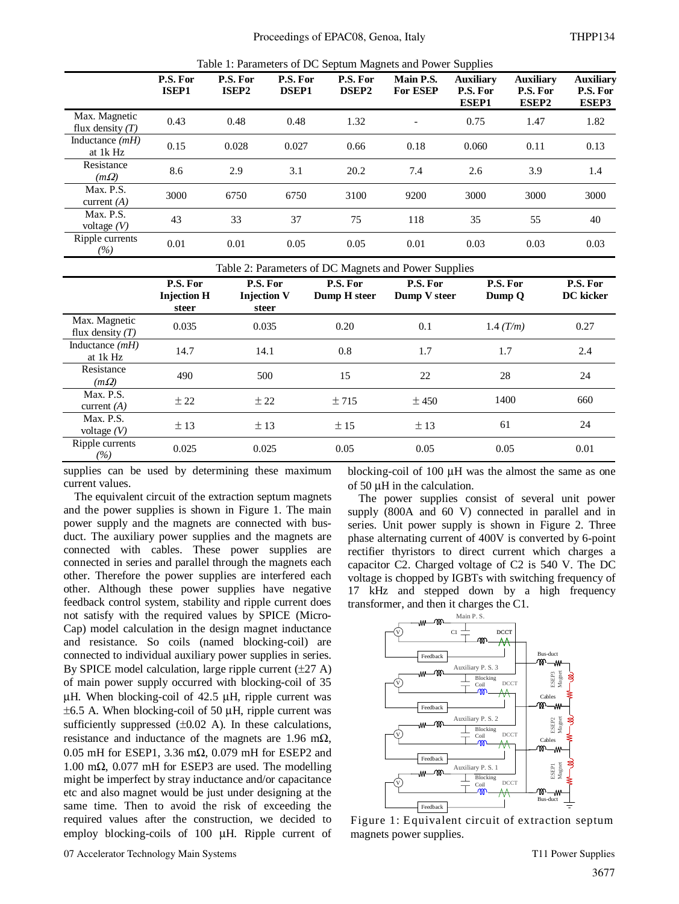| Table 1: Parameters of DC Septum Magnets and Power Supplies |  |  |
|-------------------------------------------------------------|--|--|
|-------------------------------------------------------------|--|--|

|                                     | racio 1: 1 manheters of D e Beptani Fraghets and I ower Bupphes |                               |                          |                          |                          |                                              |                                       |                                       |
|-------------------------------------|-----------------------------------------------------------------|-------------------------------|--------------------------|--------------------------|--------------------------|----------------------------------------------|---------------------------------------|---------------------------------------|
|                                     | P.S. For<br><b>ISEP1</b>                                        | P.S. For<br>ISEP <sub>2</sub> | P.S. For<br><b>DSEP1</b> | P.S. For<br><b>DSEP2</b> | Main P.S.<br>For ESEP    | <b>Auxiliary</b><br>P.S. For<br><b>ESEP1</b> | <b>Auxiliary</b><br>P.S. For<br>ESEP2 | <b>Auxiliary</b><br>P.S. For<br>ESEP3 |
| Max. Magnetic<br>flux density $(T)$ | 0.43                                                            | 0.48                          | 0.48                     | 1.32                     | $\overline{\phantom{a}}$ | 0.75                                         | 1.47                                  | 1.82                                  |
| Inductance $(mH)$<br>at 1k Hz       | 0.15                                                            | 0.028                         | 0.027                    | 0.66                     | 0.18                     | 0.060                                        | 0.11                                  | 0.13                                  |
| Resistance<br>$(m\Omega)$           | 8.6                                                             | 2.9                           | 3.1                      | 20.2                     | 7.4                      | 2.6                                          | 3.9                                   | 1.4                                   |
| Max. P.S.<br>current $(A)$          | 3000                                                            | 6750                          | 6750                     | 3100                     | 9200                     | 3000                                         | 3000                                  | 3000                                  |
| Max. P.S.<br>voltage $(V)$          | 43                                                              | 33                            | 37                       | 75                       | 118                      | 35                                           | 55                                    | 40                                    |
| Ripple currents<br>(%)              | 0.01                                                            | 0.01                          | 0.05                     | 0.05                     | 0.01                     | 0.03                                         | 0.03                                  | 0.03                                  |

|                                     | Table 2: Parameters of DC Magnets and Power Supplies |                                         |                          |                          |                    |                       |
|-------------------------------------|------------------------------------------------------|-----------------------------------------|--------------------------|--------------------------|--------------------|-----------------------|
|                                     | P.S. For<br><b>Injection H</b><br>steer              | P.S. For<br><b>Injection V</b><br>steer | P.S. For<br>Dump H steer | P.S. For<br>Dump V steer | P.S. For<br>Dump Q | P.S. For<br>DC kicker |
| Max. Magnetic<br>flux density $(T)$ | 0.035                                                | 0.035                                   | 0.20                     | 0.1                      | 1.4 (T/m)          | 0.27                  |
| Inductance $(mH)$<br>at 1k Hz       | 14.7                                                 | 14.1                                    | 0.8                      | 1.7                      | 1.7                | 2.4                   |
| Resistance<br>$(m\Omega)$           | 490                                                  | 500                                     | 15                       | 22                       | 28                 | 24                    |
| Max. P.S.<br>current $(A)$          | ± 22                                                 | ± 22                                    | ±715                     | ± 450                    | 1400               | 660                   |
| Max. P.S.<br>voltage $(V)$          | ±13                                                  | ±13                                     | ±15                      | ±13                      | 61                 | 24                    |
| Ripple currents<br>(%)              | 0.025                                                | 0.025                                   | 0.05                     | 0.05                     | 0.05               | 0.01                  |

supplies can be used by determining these maximum current values.

The equivalent circuit of the extraction septum magnets and the power supplies is shown in Figure 1. The main power supply and the magnets are connected with busduct. The auxiliary power supplies and the magnets are connected with cables. These power supplies are connected in series and parallel through the magnets each other. Therefore the power supplies are interfered each other. Although these power supplies have negative feedback control system, stability and ripple current does not satisfy with the required values by SPICE (Micro-Cap) model calculation in the design magnet inductance and resistance. So coils (named blocking-coil) are connected to individual auxiliary power supplies in series. By SPICE model calculation, large ripple current  $(\pm 27 \text{ A})$ of main power supply occurred with blocking-coil of 35 μH. When blocking-coil of 42.5 μH, ripple current was  $\pm 6.5$  A. When blocking-coil of 50  $\mu$ H, ripple current was sufficiently suppressed  $(\pm 0.02 \text{ A})$ . In these calculations, resistance and inductance of the magnets are 1.96 m $\Omega$ , 0.05 mH for ESEP1, 3.36 mΩ, 0.079 mH for ESEP2 and 1.00 mΩ, 0.077 mH for ESEP3 are used. The modelling might be imperfect by stray inductance and/or capacitance etc and also magnet would be just under designing at the same time. Then to avoid the risk of exceeding the required values after the construction, we decided to employ blocking-coils of 100 μH. Ripple current of

The power supplies consist of several unit power supply (800A and 60 V) connected in parallel and in

of 50 μH in the calculation.

series. Unit power supply is shown in Figure 2. Three phase alternating current of 400V is converted by 6-point rectifier thyristors to direct current which charges a capacitor C2. Charged voltage of C2 is 540 V. The DC voltage is chopped by IGBTs with switching frequency of 17 kHz and stepped down by a high frequency transformer, and then it charges the C1.

blocking-coil of 100 μH was the almost the same as one



Figure 1: Equivalent circuit of extraction septum magnets power supplies.